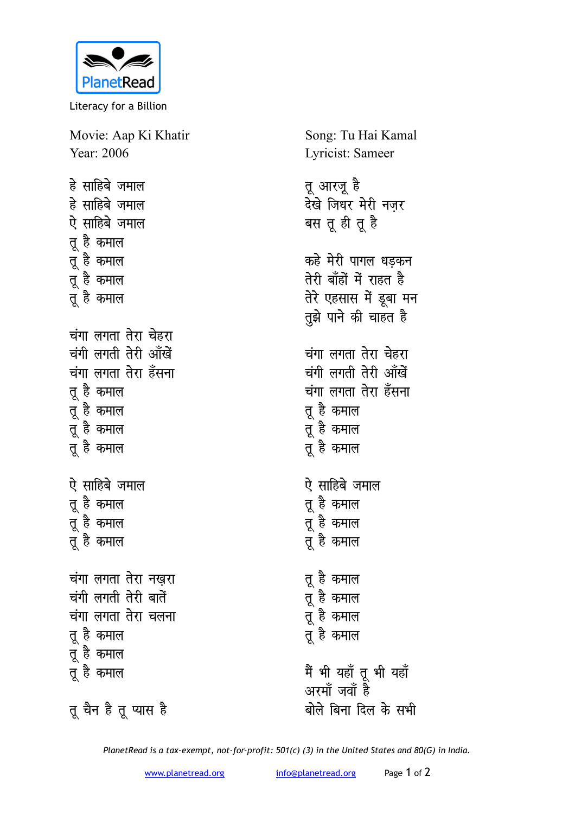

Literacy for a Billion

Movie: Aap Ki Khatir Year: 2006 हे साहिबे जमाल हे साहिबे जमाल

ऐ साहिबे जमाल तू है कमाल

तू है कमाल

तू है कमाल

्<br>तू है कमाल

<u>चंगा लगता तेरा चेहरा</u> चंगी लगती तेरी आँखें <u>चंगा लगता तेरा हँसना</u> तू है कमाल न्तु है कमाल <u>तूं</u> है कमाल <u>तूं</u> है कमाल ऐ साहिबे जमाल तू है कमाल त्र है कमाल तू है कमाल <u>चंगा लगता तेरा नखरा</u> Song: Tu Hai Kamal Lyricist: Sameer

तू आरजू है ्<br>देखे जिधर मेरी नजर बस तू ही तू है कहे मेरी पागल धडकन तेरी बॉंहों में राहत ह<del>ै</del> तेरे एहसास में डूबा मन <u>तू</u>झे पाने की चाहत है <u>चंगा लगता तेरा चेहरा</u> चंगी लगती तेरी आँखें <u>चंगा लगता तेरा हँसना</u> तू है कमाल तू है कमाल तू है कमाल ऐ साहिबे जमाल तू है कमाल त्र है कमाल <u>तूं</u> है कमाल तू है कमाल **तू** है कमाल ..<br>तू है कमाल <u>तू</u> है कमाल मैं भी यहाँ तू भी यहाँ अरमॉ जवॉ ह<mark>ै</mark> बोले बिना दिल के सभी

तू चैन है तू प्यास है

चंगी लगती तेरी बातें

तू है कमाल

तू है कमाल तू है कमाल

<u>चंगा लगता तेरा चलना</u>

*PlanetRead is a tax-exempt, not-for-profit: 501(c) (3) in the United States and 80(G) in India.*